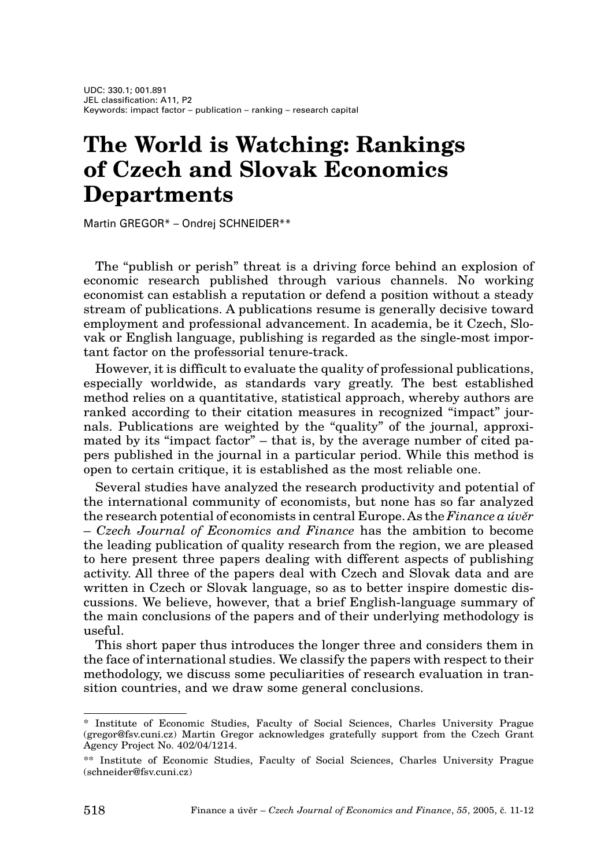# **The World is Watching: Rankings of Czech and Slovak Economics Departments**

Martin GREGOR\* – Ondrej SCHNEIDER\*\*

The "publish or perish" threat is a driving force behind an explosion of economic research published through various channels. No working economist can establish a reputation or defend a position without a steady stream of publications. A publications resume is generally decisive toward employment and professional advancement. In academia, be it Czech, Slovak or English language, publishing is regarded as the single-most important factor on the professorial tenure-track.

However, it is difficult to evaluate the quality of professional publications, especially worldwide, as standards vary greatly. The best established method relies on a quantitative, statistical approach, whereby authors are ranked according to their citation measures in recognized "impact" journals. Publications are weighted by the "quality" of the journal, approximated by its "impact factor" – that is, by the average number of cited papers published in the journal in a particular period. While this method is open to certain critique, it is established as the most reliable one.

Several studies have analyzed the research productivity and potential of the international community of economists, but none has so far analyzed the research potential of economists in central Europe. As the *Finance a úvûr* – *Czech Journal of Economics and Finance* has the ambition to become the leading publication of quality research from the region, we are pleased to here present three papers dealing with different aspects of publishing activity. All three of the papers deal with Czech and Slovak data and are written in Czech or Slovak language, so as to better inspire domestic discussions. We believe, however, that a brief English-language summary of the main conclusions of the papers and of their underlying methodology is useful.

This short paper thus introduces the longer three and considers them in the face of international studies. We classify the papers with respect to their methodology, we discuss some peculiarities of research evaluation in transition countries, and we draw some general conclusions.

Institute of Economic Studies, Faculty of Social Sciences, Charles University Prague (gregor@fsv.cuni.cz) Martin Gregor acknowledges gratefully support from the Czech Grant Agency Project No. 402/04/1214.

<sup>\*\*</sup> Institute of Economic Studies, Faculty of Social Sciences, Charles University Prague (schneider@fsv.cuni.cz)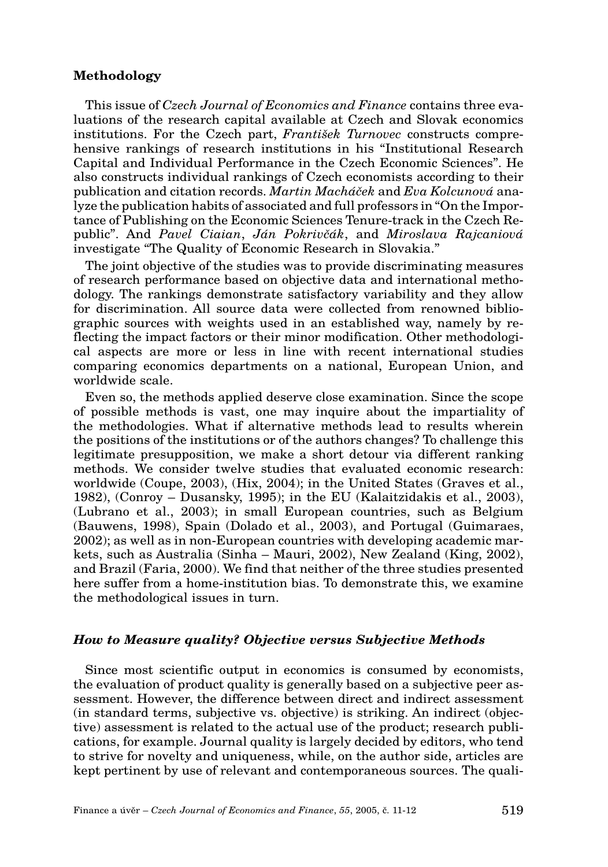#### **Methodology**

This issue of *Czech Journal of Economics and Finance* contains three evaluations of the research capital available at Czech and Slovak economics institutions. For the Czech part, *František Turnovec* constructs comprehensive rankings of research institutions in his "Institutional Research Capital and Individual Performance in the Czech Economic Sciences". He also constructs individual rankings of Czech economists according to their publication and citation records. *Martin Macháãek* and *Eva Kolcunová* analyze the publication habits of associated and full professors in "On the Importance of Publishing on the Economic Sciences Tenure-track in the Czech Republic". And *Pavel Ciaian*, *Ján Pokrivãák*, and *Miroslava Rajcaniová* investigate "The Quality of Economic Research in Slovakia."

The joint objective of the studies was to provide discriminating measures of research performance based on objective data and international methodology. The rankings demonstrate satisfactory variability and they allow for discrimination. All source data were collected from renowned bibliographic sources with weights used in an established way, namely by reflecting the impact factors or their minor modification. Other methodological aspects are more or less in line with recent international studies comparing economics departments on a national, European Union, and worldwide scale.

Even so, the methods applied deserve close examination. Since the scope of possible methods is vast, one may inquire about the impartiality of the methodologies. What if alternative methods lead to results wherein the positions of the institutions or of the authors changes? To challenge this legitimate presupposition, we make a short detour via different ranking methods. We consider twelve studies that evaluated economic research: worldwide (Coupe, 2003), (Hix, 2004); in the United States (Graves et al., 1982), (Conroy – Dusansky, 1995); in the EU (Kalaitzidakis et al., 2003), (Lubrano et al., 2003); in small European countries, such as Belgium (Bauwens, 1998), Spain (Dolado et al., 2003), and Portugal (Guimaraes, 2002); as well as in non-European countries with developing academic markets, such as Australia (Sinha – Mauri, 2002), New Zealand (King, 2002), and Brazil (Faria, 2000). We find that neither of the three studies presented here suffer from a home-institution bias. To demonstrate this, we examine the methodological issues in turn.

#### **How to Measure quality? Objective versus Subjective Methods**

Since most scientific output in economics is consumed by economists, the evaluation of product quality is generally based on a subjective peer assessment. However, the difference between direct and indirect assessment (in standard terms, subjective vs. objective) is striking. An indirect (objective) assessment is related to the actual use of the product; research publications, for example. Journal quality is largely decided by editors, who tend to strive for novelty and uniqueness, while, on the author side, articles are kept pertinent by use of relevant and contemporaneous sources. The quali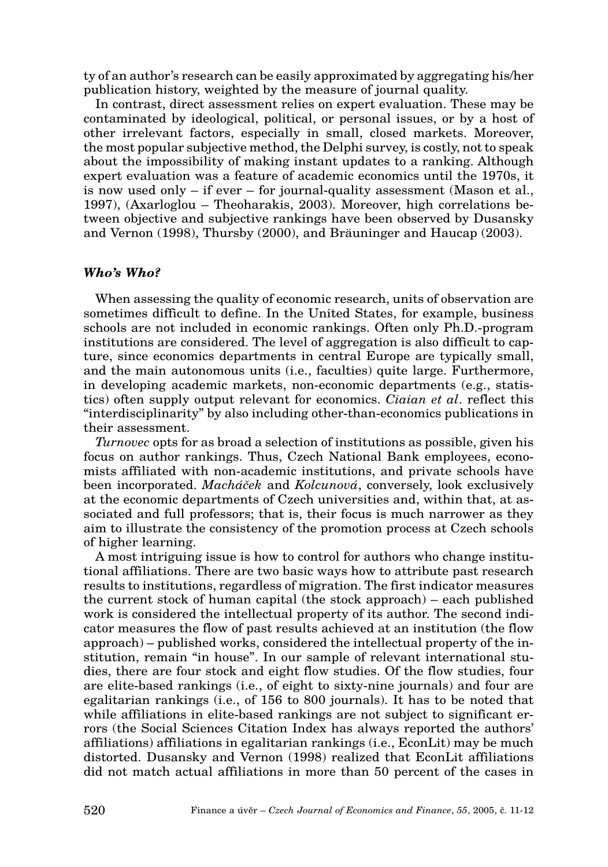ty of an author's research can be easily approximated by aggregating his/her publication history, weighted by the measure of journal quality.

In contrast, direct assessment relies on expert evaluation. These may be contaminated by ideological, political, or personal issues, or by a host of other irrelevant factors, especially in small, closed markets. Moreover, the most popular subjective method, the Delphi survey, is costly, not to speak about the impossibility of making instant updates to a ranking. Although expert evaluation was a feature of academic economics until the 1970s, it is now used only – if ever – for journal-quality assessment (Mason et al., 1997), (Axarloglou – Theoharakis, 2003). Moreover, high correlations between objective and subjective rankings have been observed by Dusansky and Vernon (1998), Thursby (2000), and Bräuninger and Haucap (2003).

#### **Who's Who?**

When assessing the quality of economic research, units of observation are sometimes difficult to define. In the United States, for example, business schools are not included in economic rankings. Often only Ph.D.-program institutions are considered. The level of aggregation is also difficult to capture, since economics departments in central Europe are typically small, and the main autonomous units (i.e., faculties) quite large. Furthermore, in developing academic markets, non-economic departments (e.g., statistics) often supply output relevant for economics. *Ciaian et al*. reflect this "interdisciplinarity" by also including other-than-economics publications in their assessment.

*Turnovec* opts for as broad a selection of institutions as possible, given his focus on author rankings. Thus, Czech National Bank employees, economists affiliated with non-academic institutions, and private schools have been incorporated. *Macháãek* and *Kolcunová*, conversely, look exclusively at the economic departments of Czech universities and, within that, at associated and full professors; that is, their focus is much narrower as they aim to illustrate the consistency of the promotion process at Czech schools of higher learning.

A most intriguing issue is how to control for authors who change institutional affiliations. There are two basic ways how to attribute past research results to institutions, regardless of migration. The first indicator measures the current stock of human capital (the stock approach) – each published work is considered the intellectual property of its author. The second indicator measures the flow of past results achieved at an institution (the flow approach) – published works, considered the intellectual property of the institution, remain "in house". In our sample of relevant international studies, there are four stock and eight flow studies. Of the flow studies, four are elite-based rankings (i.e., of eight to sixty-nine journals) and four are egalitarian rankings (i.e., of 156 to 800 journals). It has to be noted that while affiliations in elite-based rankings are not subject to significant errors (the Social Sciences Citation Index has always reported the authors' affiliations) affiliations in egalitarian rankings (i.e., EconLit) may be much distorted. Dusansky and Vernon (1998) realized that EconLit affiliations did not match actual affiliations in more than 50 percent of the cases in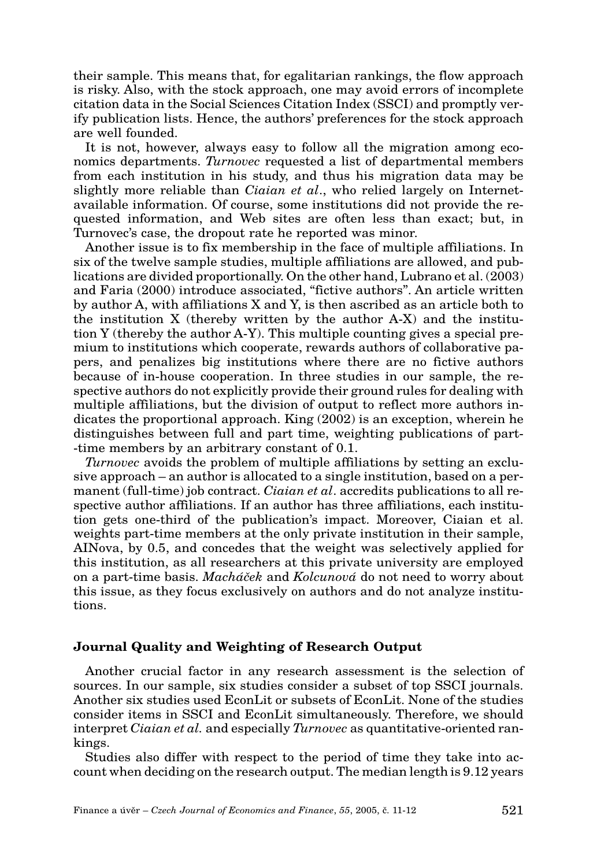their sample. This means that, for egalitarian rankings, the flow approach is risky. Also, with the stock approach, one may avoid errors of incomplete citation data in the Social Sciences Citation Index (SSCI) and promptly verify publication lists. Hence, the authors' preferences for the stock approach are well founded.

It is not, however, always easy to follow all the migration among economics departments. *Turnovec* requested a list of departmental members from each institution in his study, and thus his migration data may be slightly more reliable than *Ciaian et al*., who relied largely on Internetavailable information. Of course, some institutions did not provide the requested information, and Web sites are often less than exact; but, in Turnovec's case, the dropout rate he reported was minor.

Another issue is to fix membership in the face of multiple affiliations. In six of the twelve sample studies, multiple affiliations are allowed, and publications are divided proportionally. On the other hand, Lubrano et al. (2003) and Faria (2000) introduce associated, "fictive authors". An article written by author A, with affiliations X and Y, is then ascribed as an article both to the institution X (thereby written by the author A-X) and the institution Y (thereby the author A-Y). This multiple counting gives a special premium to institutions which cooperate, rewards authors of collaborative papers, and penalizes big institutions where there are no fictive authors because of in-house cooperation. In three studies in our sample, the respective authors do not explicitly provide their ground rules for dealing with multiple affiliations, but the division of output to reflect more authors indicates the proportional approach. King (2002) is an exception, wherein he distinguishes between full and part time, weighting publications of part- -time members by an arbitrary constant of 0.1.

*Turnovec* avoids the problem of multiple affiliations by setting an exclusive approach – an author is allocated to a single institution, based on a permanent (full-time) job contract. *Ciaian et al*. accredits publications to all respective author affiliations. If an author has three affiliations, each institution gets one-third of the publication's impact. Moreover, Ciaian et al. weights part-time members at the only private institution in their sample, AINova, by 0.5, and concedes that the weight was selectively applied for this institution, as all researchers at this private university are employed on a part-time basis. *Macháãek* and *Kolcunová* do not need to worry about this issue, as they focus exclusively on authors and do not analyze institutions.

#### **Journal Quality and Weighting of Research Output**

Another crucial factor in any research assessment is the selection of sources. In our sample, six studies consider a subset of top SSCI journals. Another six studies used EconLit or subsets of EconLit. None of the studies consider items in SSCI and EconLit simultaneously. Therefore, we should interpret *Ciaian et al.* and especially *Turnovec* as quantitative-oriented rankings.

Studies also differ with respect to the period of time they take into account when deciding on the research output. The median length is 9.12 years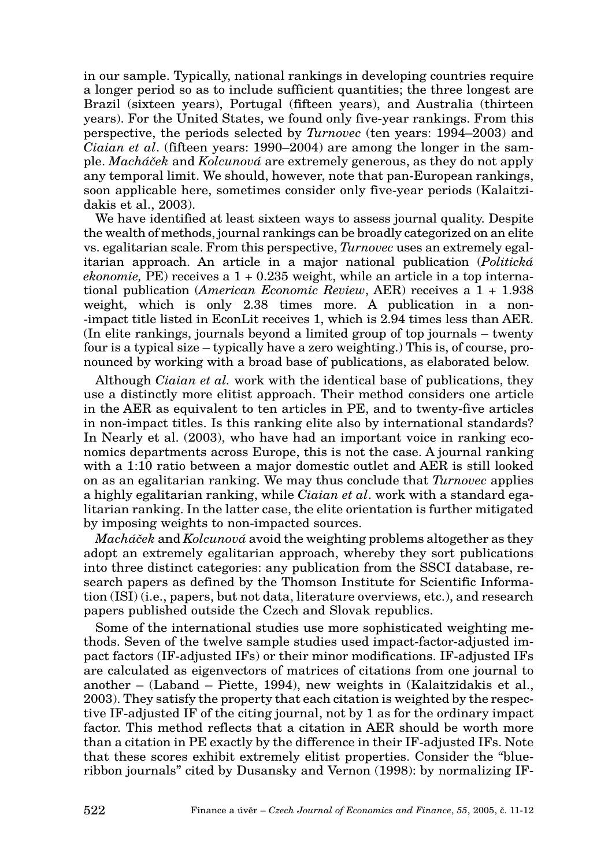in our sample. Typically, national rankings in developing countries require a longer period so as to include sufficient quantities; the three longest are Brazil (sixteen years), Portugal (fifteen years), and Australia (thirteen years). For the United States, we found only five-year rankings. From this perspective, the periods selected by *Turnovec* (ten years: 1994–2003) and *Ciaian et al*. (fifteen years: 1990–2004) are among the longer in the sample. *Macháãek* and *Kolcunová* are extremely generous, as they do not apply any temporal limit. We should, however, note that pan-European rankings, soon applicable here, sometimes consider only five-year periods (Kalaitzidakis et al., 2003).

We have identified at least sixteen ways to assess journal quality. Despite the wealth of methods, journal rankings can be broadly categorized on an elite vs. egalitarian scale. From this perspective, *Turnovec* uses an extremely egalitarian approach. An article in a major national publication (*Politická*  $ekonomic$ ,  $PE$ ) receives a  $1 + 0.235$  weight, while an article in a top international publication (*American Economic Review*, AER) receives a 1 + 1.938 weight, which is only 2.38 times more. A publication in a non- -impact title listed in EconLit receives 1, which is 2.94 times less than AER. (In elite rankings, journals beyond a limited group of top journals – twenty four is a typical size – typically have a zero weighting.) This is, of course, pronounced by working with a broad base of publications, as elaborated below.

Although *Ciaian et al.* work with the identical base of publications, they use a distinctly more elitist approach. Their method considers one article in the AER as equivalent to ten articles in PE, and to twenty-five articles in non-impact titles. Is this ranking elite also by international standards? In Nearly et al. (2003), who have had an important voice in ranking economics departments across Europe, this is not the case. A journal ranking with a 1:10 ratio between a major domestic outlet and AER is still looked on as an egalitarian ranking. We may thus conclude that *Turnovec* applies a highly egalitarian ranking, while *Ciaian et al*. work with a standard egalitarian ranking. In the latter case, the elite orientation is further mitigated by imposing weights to non-impacted sources.

*Macháãek* and *Kolcunová* avoid the weighting problems altogether as they adopt an extremely egalitarian approach, whereby they sort publications into three distinct categories: any publication from the SSCI database, research papers as defined by the Thomson Institute for Scientific Information (ISI) (i.e., papers, but not data, literature overviews, etc.), and research papers published outside the Czech and Slovak republics.

Some of the international studies use more sophisticated weighting methods. Seven of the twelve sample studies used impact-factor-adjusted impact factors (IF-adjusted IFs) or their minor modifications. IF-adjusted IFs are calculated as eigenvectors of matrices of citations from one journal to another – (Laband – Piette, 1994), new weights in (Kalaitzidakis et al., 2003). They satisfy the property that each citation is weighted by the respective IF-adjusted IF of the citing journal, not by 1 as for the ordinary impact factor. This method reflects that a citation in AER should be worth more than a citation in PE exactly by the difference in their IF-adjusted IFs. Note that these scores exhibit extremely elitist properties. Consider the "blueribbon journals" cited by Dusansky and Vernon (1998): by normalizing IF-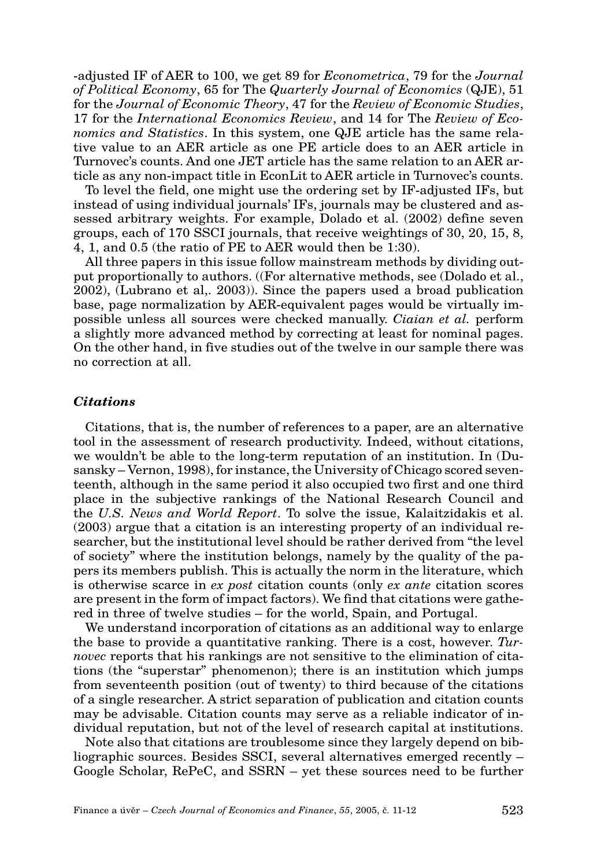-adjusted IF of AER to 100, we get 89 for *Econometrica*, 79 for the *Journal of Political Economy*, 65 for The *Quarterly Journal of Economics* (QJE), 51 for the *Journal of Economic Theory*, 47 for the *Review of Economic Studies*, 17 for the *International Economics Review*, and 14 for The *Review of Economics and Statistics*. In this system, one QJE article has the same relative value to an AER article as one PE article does to an AER article in Turnovec's counts. And one JET article has the same relation to an AER article as any non-impact title in EconLit to AER article in Turnovec's counts.

To level the field, one might use the ordering set by IF-adjusted IFs, but instead of using individual journals' IFs, journals may be clustered and assessed arbitrary weights. For example, Dolado et al. (2002) define seven groups, each of 170 SSCI journals, that receive weightings of 30, 20, 15, 8, 4, 1, and 0.5 (the ratio of PE to AER would then be 1:30).

All three papers in this issue follow mainstream methods by dividing output proportionally to authors. ((For alternative methods, see (Dolado et al., 2002), (Lubrano et al,. 2003)). Since the papers used a broad publication base, page normalization by AER-equivalent pages would be virtually impossible unless all sources were checked manually. *Ciaian et al.* perform a slightly more advanced method by correcting at least for nominal pages. On the other hand, in five studies out of the twelve in our sample there was no correction at all.

#### **Citations**

Citations, that is, the number of references to a paper, are an alternative tool in the assessment of research productivity. Indeed, without citations, we wouldn't be able to the long-term reputation of an institution. In (Dusansky – Vernon, 1998), for instance, the University of Chicago scored seventeenth, although in the same period it also occupied two first and one third place in the subjective rankings of the National Research Council and the *U.S. News and World Report*. To solve the issue, Kalaitzidakis et al. (2003) argue that a citation is an interesting property of an individual researcher, but the institutional level should be rather derived from "the level of society" where the institution belongs, namely by the quality of the papers its members publish. This is actually the norm in the literature, which is otherwise scarce in *ex post* citation counts (only *ex ante* citation scores are present in the form of impact factors). We find that citations were gathered in three of twelve studies – for the world, Spain, and Portugal.

We understand incorporation of citations as an additional way to enlarge the base to provide a quantitative ranking. There is a cost, however. *Turnovec* reports that his rankings are not sensitive to the elimination of citations (the "superstar" phenomenon); there is an institution which jumps from seventeenth position (out of twenty) to third because of the citations of a single researcher. A strict separation of publication and citation counts may be advisable. Citation counts may serve as a reliable indicator of individual reputation, but not of the level of research capital at institutions.

Note also that citations are troublesome since they largely depend on bibliographic sources. Besides SSCI, several alternatives emerged recently – Google Scholar, RePeC, and SSRN – yet these sources need to be further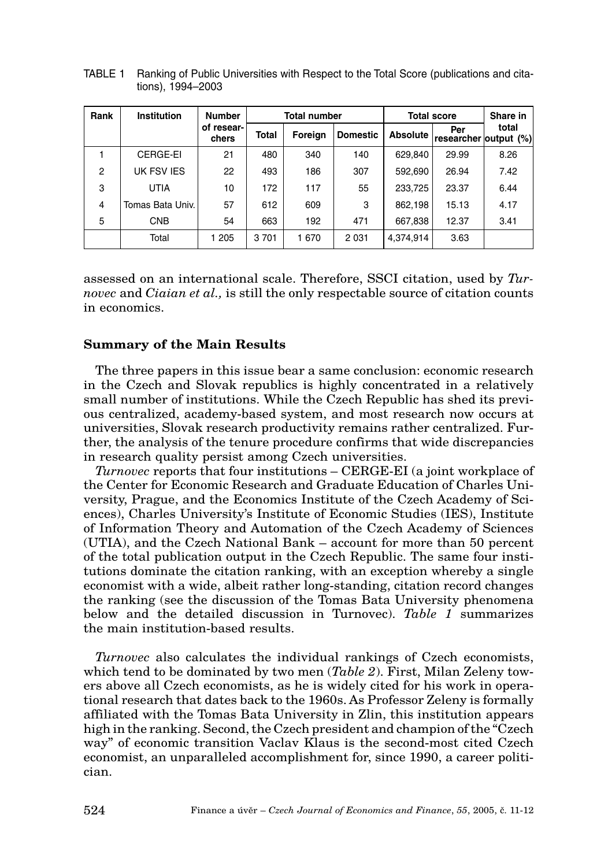| Rank | Institution      | <b>Number</b>       | <b>Total number</b> |         |                 | <b>Total score</b> | Share in                     |       |
|------|------------------|---------------------|---------------------|---------|-----------------|--------------------|------------------------------|-------|
|      |                  | of resear-<br>chers | Total               | Foreign | <b>Domestic</b> | <b>Absolute</b>    | Per<br>researcher output (%) | total |
|      | CERGE-EI         | 21                  | 480                 | 340     | 140             | 629,840            | 29.99                        | 8.26  |
| 2    | UK FSV IES       | 22                  | 493                 | 186     | 307             | 592,690            | 26.94                        | 7.42  |
| 3    | <b>UTIA</b>      | 10                  | 172                 | 117     | 55              | 233.725            | 23.37                        | 6.44  |
| 4    | Tomas Bata Univ. | 57                  | 612                 | 609     | 3               | 862,198            | 15.13                        | 4.17  |
| 5    | <b>CNB</b>       | 54                  | 663                 | 192     | 471             | 667,838            | 12.37                        | 3.41  |
|      | Total            | 1 205               | 3701                | 1670    | 2 0 3 1         | 4.374.914          | 3.63                         |       |

TABLE 1 Ranking of Public Universities with Respect to the Total Score (publications and citations), 1994–2003

assessed on an international scale. Therefore, SSCI citation, used by *Turnovec* and *Ciaian et al.,* is still the only respectable source of citation counts in economics.

#### **Summary of the Main Results**

The three papers in this issue bear a same conclusion: economic research in the Czech and Slovak republics is highly concentrated in a relatively small number of institutions. While the Czech Republic has shed its previous centralized, academy-based system, and most research now occurs at universities, Slovak research productivity remains rather centralized. Further, the analysis of the tenure procedure confirms that wide discrepancies in research quality persist among Czech universities.

*Turnovec* reports that four institutions – CERGE-EI (a joint workplace of the Center for Economic Research and Graduate Education of Charles University, Prague, and the Economics Institute of the Czech Academy of Sciences), Charles University's Institute of Economic Studies (IES), Institute of Information Theory and Automation of the Czech Academy of Sciences (UTIA), and the Czech National Bank – account for more than 50 percent of the total publication output in the Czech Republic. The same four institutions dominate the citation ranking, with an exception whereby a single economist with a wide, albeit rather long-standing, citation record changes the ranking (see the discussion of the Tomas Bata University phenomena below and the detailed discussion in Turnovec). *Table 1* summarizes the main institution-based results.

*Turnovec* also calculates the individual rankings of Czech economists, which tend to be dominated by two men (*Table 2*). First, Milan Zeleny towers above all Czech economists, as he is widely cited for his work in operational research that dates back to the 1960s. As Professor Zeleny is formally affiliated with the Tomas Bata University in Zlin, this institution appears high in the ranking. Second, the Czech president and champion of the "Czech way" of economic transition Vaclav Klaus is the second-most cited Czech economist, an unparalleled accomplishment for, since 1990, a career politician.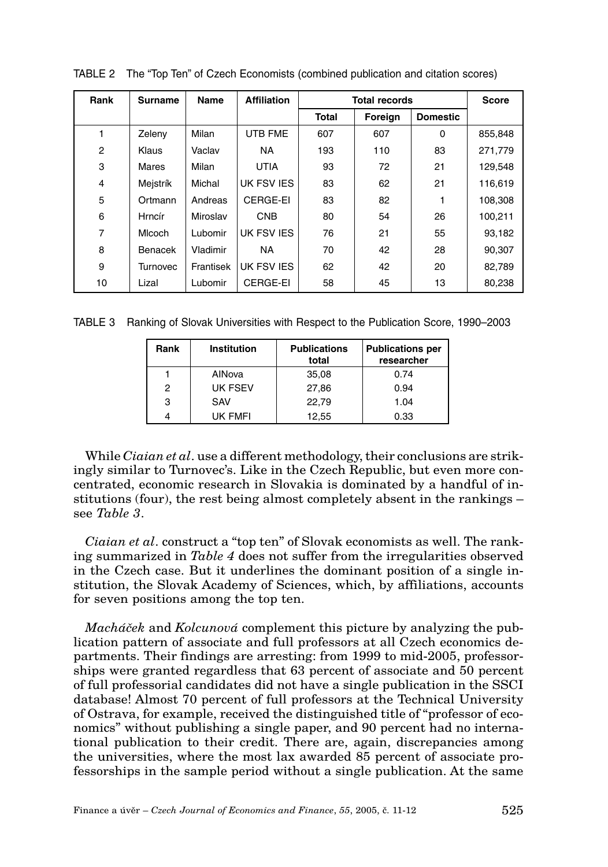| Rank           | Surname  | Name      | <b>Affiliation</b> | <b>Total records</b> |         | <b>Score</b>    |         |
|----------------|----------|-----------|--------------------|----------------------|---------|-----------------|---------|
|                |          |           |                    | <b>Total</b>         | Foreign | <b>Domestic</b> |         |
|                | Zeleny   | Milan     | <b>UTB FME</b>     | 607                  | 607     | $\Omega$        | 855,848 |
| 2              | Klaus    | Vaclav    | <b>NA</b>          | 193                  | 110     | 83              | 271,779 |
| 3              | Mares    | Milan     | <b>UTIA</b>        | 93                   | 72      | 21              | 129.548 |
| 4              | Mejstrík | Michal    | UK FSV IES         | 83                   | 62      | 21              | 116.619 |
| 5              | Ortmann  | Andreas   | CERGE-EI           | 83                   | 82      |                 | 108.308 |
| 6              | Hrncír   | Miroslav  | <b>CNB</b>         | 80                   | 54      | 26              | 100,211 |
| $\overline{7}$ | Micoch   | Lubomir   | UK FSV IES         | 76                   | 21      | 55              | 93.182  |
| 8              | Benacek  | Vladimir  | <b>NA</b>          | 70                   | 42      | 28              | 90.307  |
| 9              | Turnovec | Frantisek | UK FSV IES         | 62                   | 42      | 20              | 82.789  |
| 10             | Lizal    | Lubomir   | CERGE-EI           | 58                   | 45      | 13              | 80,238  |

TABLE 2 The "Top Ten" of Czech Economists (combined publication and citation scores)

TABLE 3 Ranking of Slovak Universities with Respect to the Publication Score, 1990–2003

| Rank | Institution | <b>Publications</b><br>total | <b>Publications per</b><br>researcher |
|------|-------------|------------------------------|---------------------------------------|
|      | AINova      | 35,08                        | 0.74                                  |
| 2    | UK FSEV     | 27.86                        | 0.94                                  |
| 3    | SAV         | 22.79                        | 1.04                                  |
|      | UK FMFI     | 12,55                        | 0.33                                  |

While *Ciaian et al*. use a different methodology, their conclusions are strikingly similar to Turnovec's. Like in the Czech Republic, but even more concentrated, economic research in Slovakia is dominated by a handful of institutions (four), the rest being almost completely absent in the rankings – see *Table 3*.

*Ciaian et al*. construct a "top ten" of Slovak economists as well. The ranking summarized in *Table 4* does not suffer from the irregularities observed in the Czech case. But it underlines the dominant position of a single institution, the Slovak Academy of Sciences, which, by affiliations, accounts for seven positions among the top ten.

*Macháãek* and *Kolcunová* complement this picture by analyzing the publication pattern of associate and full professors at all Czech economics departments. Their findings are arresting: from 1999 to mid-2005, professorships were granted regardless that 63 percent of associate and 50 percent of full professorial candidates did not have a single publication in the SSCI database! Almost 70 percent of full professors at the Technical University of Ostrava, for example, received the distinguished title of "professor of economics" without publishing a single paper, and 90 percent had no international publication to their credit. There are, again, discrepancies among the universities, where the most lax awarded 85 percent of associate professorships in the sample period without a single publication. At the same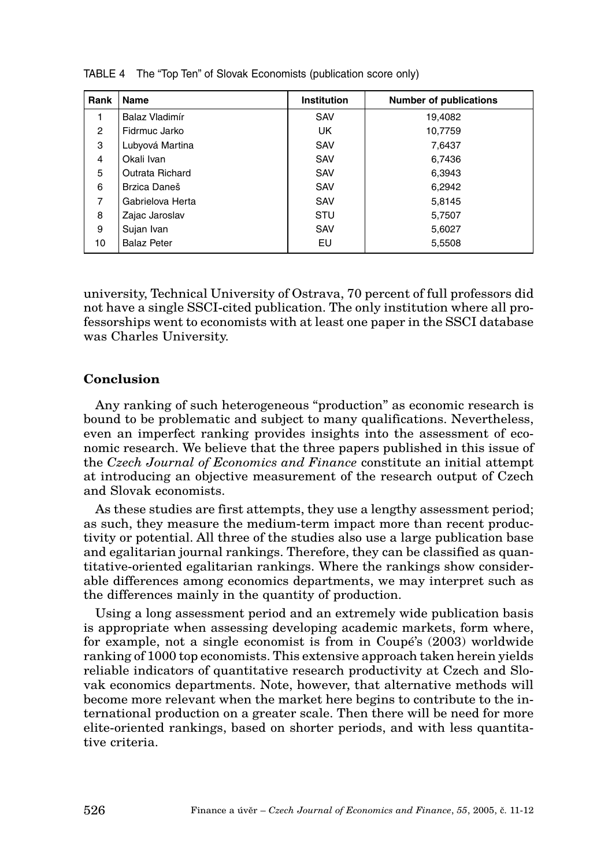| Rank           | Name               | <b>Institution</b> | <b>Number of publications</b> |
|----------------|--------------------|--------------------|-------------------------------|
|                | Balaz Vladimír     | SAV                | 19,4082                       |
| 2              | Fidrmuc Jarko      | UK                 | 10,7759                       |
| 3              | Lubyová Martina    | SAV                | 7,6437                        |
| $\overline{4}$ | Okali Ivan         | SAV                | 6,7436                        |
| 5              | Outrata Richard    | SAV                | 6,3943                        |
| 6              | Brzica Daneš       | SAV                | 6,2942                        |
| 7              | Gabrielova Herta   | SAV                | 5,8145                        |
| 8              | Zajac Jaroslav     | STU                | 5,7507                        |
| 9              | Sujan Ivan         | SAV                | 5,6027                        |
| 10             | <b>Balaz Peter</b> | EU                 | 5,5508                        |

TABLE 4 The "Top Ten" of Slovak Economists (publication score only)

university, Technical University of Ostrava, 70 percent of full professors did not have a single SSCI-cited publication. The only institution where all professorships went to economists with at least one paper in the SSCI database was Charles University.

#### **Conclusion**

Any ranking of such heterogeneous "production" as economic research is bound to be problematic and subject to many qualifications. Nevertheless, even an imperfect ranking provides insights into the assessment of economic research. We believe that the three papers published in this issue of the *Czech Journal of Economics and Finance* constitute an initial attempt at introducing an objective measurement of the research output of Czech and Slovak economists.

As these studies are first attempts, they use a lengthy assessment period; as such, they measure the medium-term impact more than recent productivity or potential. All three of the studies also use a large publication base and egalitarian journal rankings. Therefore, they can be classified as quantitative-oriented egalitarian rankings. Where the rankings show considerable differences among economics departments, we may interpret such as the differences mainly in the quantity of production.

Using a long assessment period and an extremely wide publication basis is appropriate when assessing developing academic markets, form where, for example, not a single economist is from in Coupé's (2003) worldwide ranking of 1000 top economists. This extensive approach taken herein yields reliable indicators of quantitative research productivity at Czech and Slovak economics departments. Note, however, that alternative methods will become more relevant when the market here begins to contribute to the international production on a greater scale. Then there will be need for more elite-oriented rankings, based on shorter periods, and with less quantitative criteria.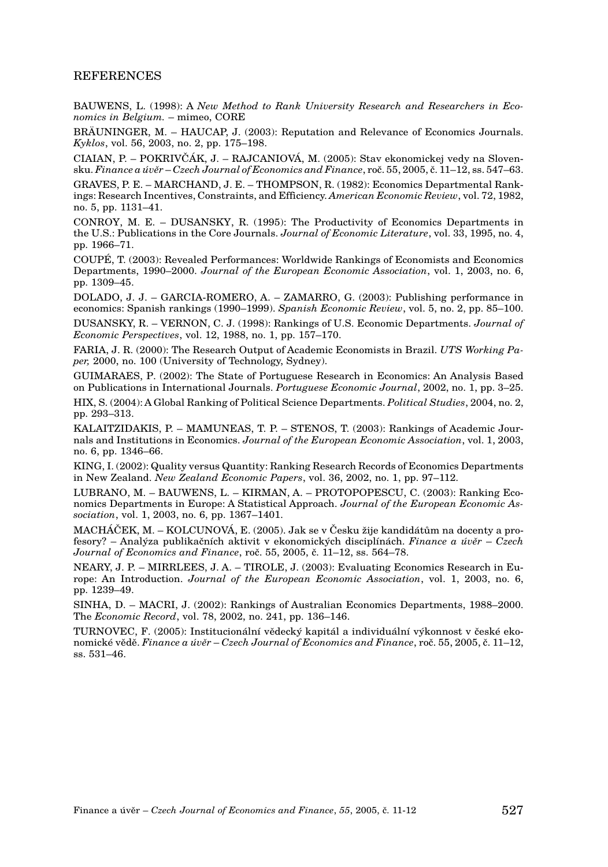#### **REFERENCES**

BAUWENS, L. (1998): A *New Method to Rank University Research and Researchers in Economics in Belgium.* – mimeo, CORE

BRÄUNINGER, M. – HAUCAP, J. (2003): Reputation and Relevance of Economics Journals. *Kyklos*, vol. 56, 2003, no. 2, pp. 175–198.

CIAIAN, P. – POKRIVâÁK, J. – RAJCANIOVÁ, M. (2005): Stav ekonomickej vedy na Slovensku. *Finance a úvûr* – *Czech Journal of Economics and Finance*, roã. 55, 2005, ã. 11–12, ss. 547–63.

GRAVES, P. E. – MARCHAND, J. E. – THOMPSON, R. (1982): Economics Departmental Rankings: Research Incentives, Constraints, and Efficiency. *American Economic Review*, vol. 72, 1982, no. 5, pp. 1131–41.

CONROY, M. E. – DUSANSKY, R. (1995): The Productivity of Economics Departments in the U.S.: Publications in the Core Journals. *Journal of Economic Literature*, vol. 33, 1995, no. 4, pp. 1966–71.

COUPÉ, T. (2003): Revealed Performances: Worldwide Rankings of Economists and Economics Departments, 1990–2000. *Journal of the European Economic Association*, vol. 1, 2003, no. 6, pp. 1309–45.

DOLADO, J. J. – GARCIA-ROMERO, A. – ZAMARRO, G. (2003): Publishing performance in economics: Spanish rankings (1990–1999). *Spanish Economic Review*, vol. 5, no. 2, pp. 85–100.

DUSANSKY, R. – VERNON, C. J. (1998): Rankings of U.S. Economic Departments. *Journal of Economic Perspectives*, vol. 12, 1988, no. 1, pp. 157–170.

FARIA, J. R. (2000): The Research Output of Academic Economists in Brazil. *UTS Working Paper,* 2000, no. 100 (University of Technology, Sydney).

GUIMARAES, P. (2002): The State of Portuguese Research in Economics: An Analysis Based on Publications in International Journals. *Portuguese Economic Journal*, 2002, no. 1, pp. 3–25.

HIX, S. (2004): A Global Ranking of Political Science Departments. *Political Studies*, 2004, no. 2, pp. 293–313.

KALAITZIDAKIS, P. – MAMUNEAS, T. P. – STENOS, T. (2003): Rankings of Academic Journals and Institutions in Economics. *Journal of the European Economic Association*, vol. 1, 2003, no. 6, pp. 1346–66.

KING, I. (2002): Quality versus Quantity: Ranking Research Records of Economics Departments in New Zealand. *New Zealand Economic Papers*, vol. 36, 2002, no. 1, pp. 97–112.

LUBRANO, M. – BAUWENS, L. – KIRMAN, A. – PROTOPOPESCU, C. (2003): Ranking Economics Departments in Europe: A Statistical Approach. *Journal of the European Economic Association*, vol. 1, 2003, no. 6, pp. 1367–1401.

 $MACHAČEK, M. - KOLCLNOVÁ, E. (2005), Jak se v Česku žile kandidátům na docentv a pro$ fesory? – Anal˘za publikaãních aktivit v ekonomick˘ch disciplínách. *Finance a úvûr* – *Czech Journal of Economics and Finance*, roã. 55, 2005, ã. 11–12, ss. 564–78.

NEARY, J. P. – MIRRLEES, J. A. – TIROLE, J. (2003): Evaluating Economics Research in Europe: An Introduction. *Journal of the European Economic Association*, vol. 1, 2003, no. 6, pp. 1239–49.

SINHA, D. – MACRI, J. (2002): Rankings of Australian Economics Departments, 1988–2000. The *Economic Record*, vol. 78, 2002, no. 241, pp. 136–146.

TURNOVEC, F. (2005): Institucionální vědecký kapitál a individuální výkonnost v české ekonomické vûdû. *Finance a úvûr* – *Czech Journal of Economics and Finance*, roã. 55, 2005, ã. 11–12, ss. 531–46.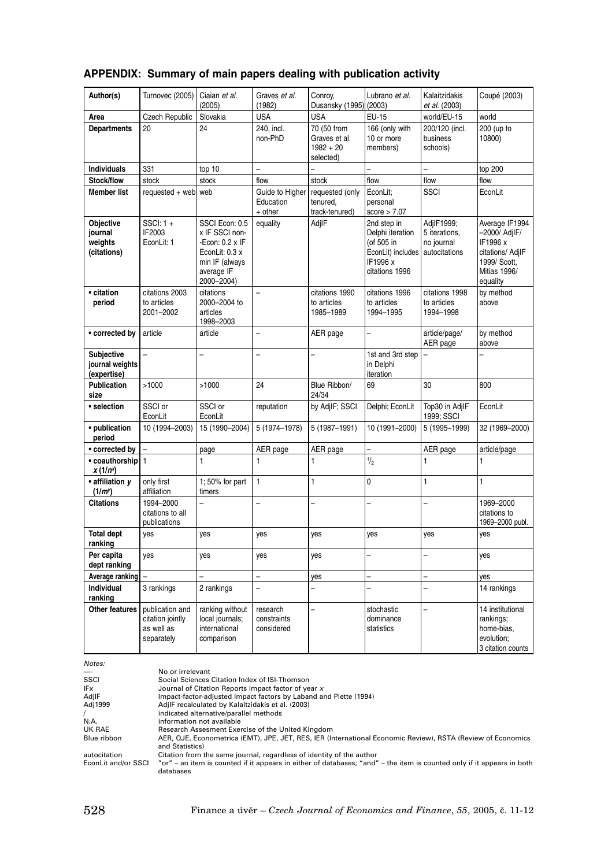|  |  |  |  | APPENDIX: Summary of main papers dealing with publication activity |
|--|--|--|--|--------------------------------------------------------------------|
|--|--|--|--|--------------------------------------------------------------------|

| Author(s)                                           | Turnovec (2005)                                                 | Ciaian et al.<br>(2005)                                                                                             | Graves et al.<br>(1982)                 | Conroy,<br>Dusansky (1995)                               | Lubrano et al.<br>(2003)                                                                         | Kalaitzidakis<br>et al. (2003)                             | Coupé (2003)                                                                                                |
|-----------------------------------------------------|-----------------------------------------------------------------|---------------------------------------------------------------------------------------------------------------------|-----------------------------------------|----------------------------------------------------------|--------------------------------------------------------------------------------------------------|------------------------------------------------------------|-------------------------------------------------------------------------------------------------------------|
| Area                                                | Czech Republic                                                  | Slovakia                                                                                                            | <b>USA</b>                              | <b>USA</b>                                               | EU-15                                                                                            | world/EU-15                                                | world                                                                                                       |
| <b>Departments</b>                                  | 20                                                              | 24                                                                                                                  | 240, incl.<br>non-PhD                   | 70 (50 from<br>Graves et al.<br>$1982 + 20$<br>selected) | 166 (only with<br>10 or more<br>members)                                                         | 200/120 (incl.<br>business<br>schools)                     | 200 (up to<br>10800)                                                                                        |
| <b>Individuals</b>                                  | 331                                                             | top 10                                                                                                              | $\overline{a}$                          |                                                          |                                                                                                  | $\overline{a}$                                             | top 200                                                                                                     |
| Stock/flow                                          | stock                                                           | stock                                                                                                               | flow                                    | stock                                                    | flow                                                                                             | flow                                                       | flow                                                                                                        |
| <b>Member list</b>                                  | requested + web                                                 | web                                                                                                                 | Guide to Higher<br>Education<br>+ other | requested (only<br>tenured.<br>track-tenured)            | EconLit;<br>personal<br>score > 7.07                                                             | SSCI                                                       | EconLit                                                                                                     |
| Objective<br>journal<br>weights<br>(citations)      | $SSCI: 1 +$<br>IF2003<br>EconLit: 1                             | SSCI Econ: 0.5<br>x IF SSCI non-<br>-Econ: 0.2 x IF<br>EconLit: 0.3 x<br>min IF (always<br>average IF<br>2000-2004) | equality                                | AdjlF                                                    | 2nd step in<br>Delphi iteration<br>(of 505 in<br>EconLit) includes<br>IF1996 x<br>citations 1996 | AdjIF1999;<br>5 iterations,<br>no journal<br>autocitations | Average IF1994<br>-2000/ AdjIF/<br>IF1996 x<br>citations/ AdjIF<br>1999/ Scott,<br>Mitias 1996/<br>equality |
| • citation<br>period                                | citations 2003<br>to articles<br>2001-2002                      | citations<br>2000-2004 to<br>articles<br>1998-2003                                                                  | $\overline{a}$                          | citations 1990<br>to articles<br>1985-1989               | citations 1996<br>to articles<br>1994-1995                                                       | citations 1998<br>to articles<br>1994-1998                 | by method<br>above                                                                                          |
| • corrected by                                      | article                                                         | article                                                                                                             | $\overline{a}$                          | AER page                                                 | $\overline{a}$                                                                                   | article/page/<br>AER page                                  | by method<br>above                                                                                          |
| <b>Subjective</b><br>journal weights<br>(expertise) |                                                                 |                                                                                                                     | $\overline{a}$                          |                                                          | 1st and 3rd step<br>in Delphi<br>iteration                                                       | $\overline{\phantom{0}}$                                   |                                                                                                             |
| Publication<br>size                                 | >1000                                                           | >1000                                                                                                               | 24                                      | Blue Ribbon/<br>24/34                                    | 69                                                                                               | 30                                                         | 800                                                                                                         |
| · selection                                         | SSCI or<br>EconLit                                              | SSCI or<br>EconLit                                                                                                  | reputation                              | by AdjIF: SSCI                                           | Delphi; EconLit                                                                                  | Top30 in AdjIF<br>1999; SSCI                               | EconLit                                                                                                     |
| • publication<br>period                             | 10 (1994-2003)                                                  | 15 (1990-2004)                                                                                                      | 5 (1974-1978)                           | 5 (1987-1991)                                            | 10 (1991-2000)                                                                                   | 5 (1995-1999)                                              | 32 (1969-2000)                                                                                              |
| • corrected by                                      |                                                                 | page                                                                                                                | AER page                                | AER page                                                 |                                                                                                  | AER page                                                   | article/page                                                                                                |
| • coauthorship<br>$x(1/n^x)$                        | $\mathbf{1}$                                                    | $\mathbf{1}$                                                                                                        | $\mathbf{1}$                            | 1                                                        | $\frac{1}{2}$                                                                                    | $\mathbf{1}$                                               | 1                                                                                                           |
| · affiliation v<br>(1/m <sup>y</sup> )              | only first<br>affiliation                                       | 1; 50% for part<br>timers                                                                                           | $\mathbf{1}$                            | $\mathbf{1}$                                             | 0                                                                                                | $\mathbf{1}$                                               | $\mathbf{1}$                                                                                                |
| <b>Citations</b>                                    | 1994-2000<br>citations to all<br>publications                   |                                                                                                                     | $\overline{a}$                          |                                                          |                                                                                                  |                                                            | 1969-2000<br>citations to<br>1969-2000 publ.                                                                |
| <b>Total dept</b><br>ranking                        | yes                                                             | yes                                                                                                                 | yes                                     | yes                                                      | yes                                                                                              | yes                                                        | yes                                                                                                         |
| Per capita<br>dept ranking                          | yes                                                             | yes                                                                                                                 | yes                                     | yes                                                      |                                                                                                  | $\overline{a}$                                             | yes                                                                                                         |
| Average ranking                                     |                                                                 |                                                                                                                     | $\overline{a}$                          | yes                                                      | $\overline{a}$                                                                                   | $\overline{a}$                                             | yes                                                                                                         |
| Individual<br>ranking                               | 3 rankings                                                      | 2 rankings                                                                                                          | $\overline{a}$                          | $\overline{\phantom{0}}$                                 |                                                                                                  | $\overline{\phantom{0}}$                                   | 14 rankings                                                                                                 |
| Other features                                      | publication and<br>citation jointly<br>as well as<br>separately | ranking without<br>local journals;<br>international<br>comparison                                                   | research<br>constraints<br>considered   | $\overline{a}$                                           | stochastic<br>dominance<br>statistics                                                            | $\overline{\phantom{0}}$                                   | 14 institutional<br>rankings;<br>home-bias,<br>evolution:<br>3 citation counts                              |

*Notes:* 

| <i><b>NOLES.</b></i> |                                                                                                                                |
|----------------------|--------------------------------------------------------------------------------------------------------------------------------|
| —-                   | No or irrelevant                                                                                                               |
| SSCI                 | Social Sciences Citation Index of ISI-Thomson                                                                                  |
| IF <sub>x</sub>      | Journal of Citation Reports impact factor of year x                                                                            |
| AdjlF                | Impact-factor-adjusted impact factors by Laband and Piette (1994)                                                              |
| Adj1999              | AdjlF recalculated by Kalaitzidakis et al. (2003)                                                                              |
|                      | indicated alternative/parallel methods                                                                                         |
| N.A.                 | information not available                                                                                                      |
| UK RAE               | Research Assesment Exercise of the United Kingdom                                                                              |
| Blue ribbon          | AER, QJE, Econometrica (EMT), JPE, JET, RES, IER (International Economic Review), RSTA (Review of Economics<br>and Statistics) |
| autocitation         | Citation from the same journal, regardless of identity of the author                                                           |
| EconLit and/or SSCI  | "or" – an item is counted if it appears in either of databases; "and" – the item is counted only if it appears in both         |
|                      | databases                                                                                                                      |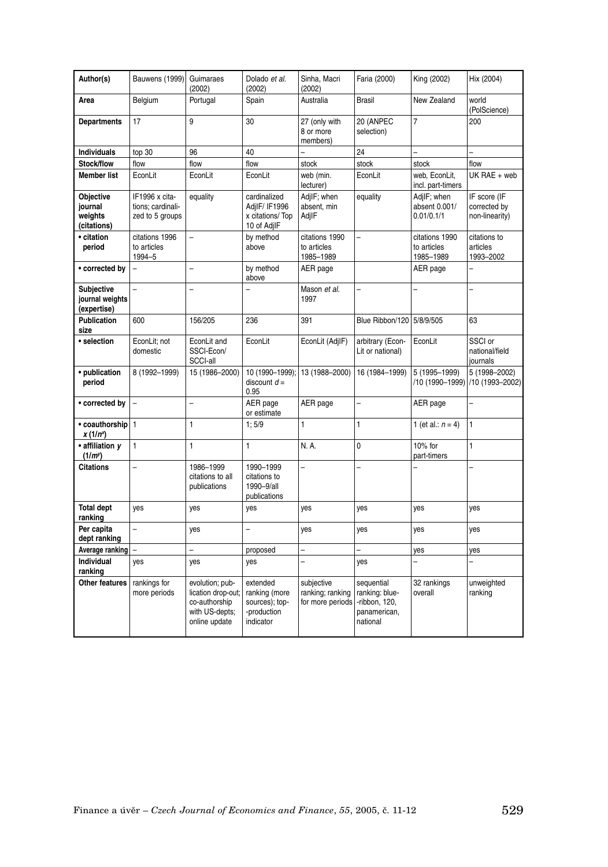| Author(s)                                           | Bauwens (1999)                                         | Guimaraes<br>(2002)                                                                       | Dolado et al.<br>(2002)                                                 | Sinha, Macri<br>(2002)                             | Faria (2000)                                                              | King (2002)                                | Hix (2004)                                        |
|-----------------------------------------------------|--------------------------------------------------------|-------------------------------------------------------------------------------------------|-------------------------------------------------------------------------|----------------------------------------------------|---------------------------------------------------------------------------|--------------------------------------------|---------------------------------------------------|
| Area                                                | Belgium                                                | Portugal                                                                                  | Spain                                                                   | Australia                                          | <b>Brasil</b>                                                             | New Zealand                                | world<br>(PolScience)                             |
| <b>Departments</b>                                  | 17                                                     | 9                                                                                         | 30                                                                      | 27 (only with<br>8 or more<br>members)             | 20 (ANPEC<br>selection)                                                   | 7                                          | 200                                               |
| <b>Individuals</b>                                  | top 30                                                 | 96                                                                                        | 40                                                                      |                                                    | 24                                                                        |                                            |                                                   |
| Stock/flow                                          | flow                                                   | flow                                                                                      | flow                                                                    | stock                                              | stock                                                                     | stock                                      | flow                                              |
| <b>Member list</b>                                  | EconLit                                                | EconLit                                                                                   | EconLit                                                                 | web (min.<br>lecturer)                             | EconLit                                                                   | web, EconLit,<br>incl. part-timers         | UK RAE + web                                      |
| Objective<br>journal<br>weights<br>(citations)      | IF1996 x cita-<br>tions; cardinali-<br>zed to 5 groups | equality                                                                                  | cardinalized<br>AdjlF/ IF1996<br>x citations/Top<br>10 of AdjIF         | AdjlF; when<br>absent, min<br>AdjlF                | equality                                                                  | AdjlF; when<br>absent 0.001/<br>0.01/0.1/1 | IF score (IF<br>corrected by<br>non-linearity)    |
| • citation<br>period                                | citations 1996<br>to articles<br>1994-5                | $\overline{a}$                                                                            | by method<br>above                                                      | citations 1990<br>to articles<br>1985-1989         | $\overline{a}$                                                            | citations 1990<br>to articles<br>1985-1989 | citations to<br>articles<br>1993-2002             |
| • corrected by                                      | $\overline{a}$                                         | $\overline{a}$                                                                            | by method<br>above                                                      | AER page                                           |                                                                           | AER page                                   | $\overline{a}$                                    |
| <b>Subjective</b><br>journal weights<br>(expertise) | $\overline{a}$                                         | $\overline{a}$                                                                            | $\overline{a}$                                                          | Mason et al.<br>1997                               |                                                                           |                                            |                                                   |
| <b>Publication</b><br>size                          | 600                                                    | 156/205                                                                                   | 236                                                                     | 391                                                | Blue Ribbon/120                                                           | 5/8/9/505                                  | 63                                                |
| · selection                                         | EconLit; not<br>domestic                               | EconLit and<br>SSCI-Econ/<br>SCCI-all                                                     | EconLit                                                                 | EconLit (AdjIF)                                    | arbitrary (Econ-<br>Lit or national)                                      | EconLit                                    | SSCI or<br>national/field<br>journals             |
| • publication<br>period                             | 8 (1992-1999)                                          | 15 (1986-2000)                                                                            | 10 (1990-1999);<br>discount $d =$<br>0.95                               | 13 (1988-2000)                                     | 16 (1984-1999)                                                            | 5 (1995-1999)                              | 5 (1998-2002)<br>/10 (1990-1999)  /10 (1993-2002) |
| • corrected by                                      |                                                        | $\overline{a}$                                                                            | AER page<br>or estimate                                                 | AER page                                           | $\overline{a}$                                                            | AER page                                   |                                                   |
| • coauthorship 1<br>$x(1/n^x)$                      |                                                        | $\mathbf{1}$                                                                              | 1;5/9                                                                   | $\mathbf{1}$                                       | $\mathbf{1}$                                                              | 1 (et al.: $n = 4$ )                       | $\mathbf{1}$                                      |
| · affiliation v<br>(1/m)                            | $\mathbf{1}$                                           | $\mathbf{1}$                                                                              | $\mathbf{1}$                                                            | N. A.                                              | $\mathbf 0$                                                               | 10% for<br>part-timers                     | $\mathbf{1}$                                      |
| <b>Citations</b>                                    | $\overline{a}$                                         | 1986-1999<br>citations to all<br>publications                                             | 1990-1999<br>citations to<br>1990-9/all<br>publications                 |                                                    |                                                                           | $\overline{a}$                             |                                                   |
| <b>Total dept</b><br>ranking                        | yes                                                    | yes                                                                                       | yes                                                                     | yes                                                | yes                                                                       | yes                                        | yes                                               |
| Per capita<br>dept ranking                          | $\overline{a}$                                         | yes                                                                                       | $\overline{a}$                                                          | yes                                                | yes                                                                       | yes                                        | yes                                               |
| Average ranking                                     | $\overline{a}$                                         | $\overline{a}$                                                                            | proposed                                                                |                                                    |                                                                           | yes                                        | yes                                               |
| Individual<br>ranking                               | yes                                                    | yes                                                                                       | yes                                                                     |                                                    | yes                                                                       |                                            |                                                   |
| Other features                                      | rankings for<br>more periods                           | evolution; pub-<br>lication drop-out;<br>co-authorship<br>with US-depts;<br>online update | extended<br>ranking (more<br>sources); top-<br>-production<br>indicator | subjective<br>ranking; ranking<br>for more periods | sequential<br>ranking: blue-<br>-ribbon, 120,<br>panamerican,<br>national | 32 rankings<br>overall                     | unweighted<br>ranking                             |